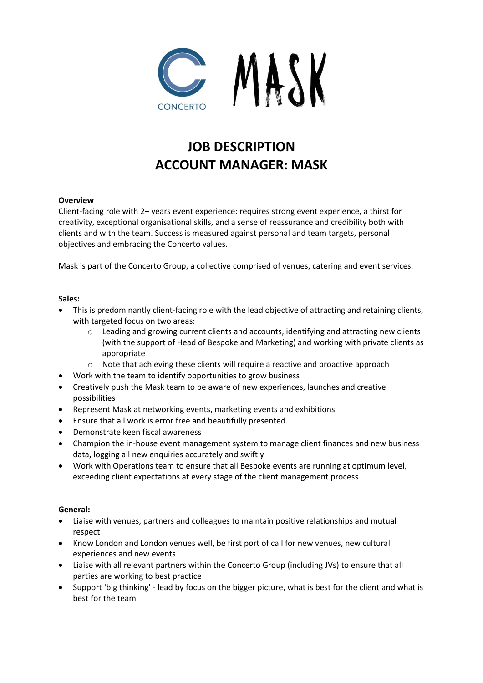

# **JOB DESCRIPTION ACCOUNT MANAGER: MASK**

# **Overview**

Client-facing role with 2+ years event experience: requires strong event experience, a thirst for creativity, exceptional organisational skills, and a sense of reassurance and credibility both with clients and with the team. Success is measured against personal and team targets, personal objectives and embracing the Concerto values.

Mask is part of the Concerto Group, a collective comprised of venues, catering and event services.

### **Sales:**

- This is predominantly client-facing role with the lead objective of attracting and retaining clients, with targeted focus on two areas:
	- o Leading and growing current clients and accounts, identifying and attracting new clients (with the support of Head of Bespoke and Marketing) and working with private clients as appropriate
	- o Note that achieving these clients will require a reactive and proactive approach
- Work with the team to identify opportunities to grow business
- Creatively push the Mask team to be aware of new experiences, launches and creative possibilities
- Represent Mask at networking events, marketing events and exhibitions
- Ensure that all work is error free and beautifully presented
- Demonstrate keen fiscal awareness
- Champion the in-house event management system to manage client finances and new business data, logging all new enquiries accurately and swiftly
- Work with Operations team to ensure that all Bespoke events are running at optimum level, exceeding client expectations at every stage of the client management process

### **General:**

- Liaise with venues, partners and colleagues to maintain positive relationships and mutual respect
- Know London and London venues well, be first port of call for new venues, new cultural experiences and new events
- Liaise with all relevant partners within the Concerto Group (including JVs) to ensure that all parties are working to best practice
- Support 'big thinking' lead by focus on the bigger picture, what is best for the client and what is best for the team